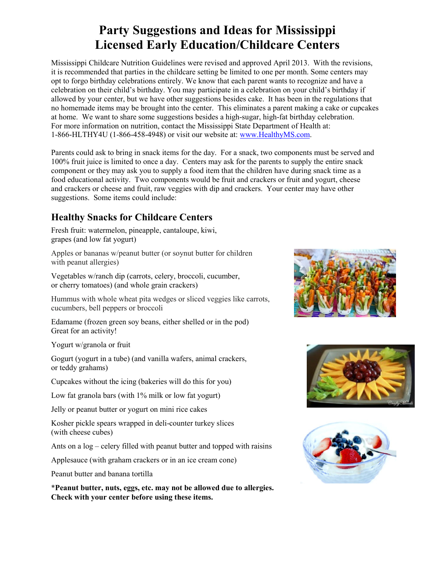## **Party Suggestions and Ideas for Mississippi Licensed Early Education/Childcare Centers**

Mississippi Childcare Nutrition Guidelines were revised and approved April 2013. With the revisions, it is recommended that parties in the childcare setting be limited to one per month. Some centers may opt to forgo birthday celebrations entirely. We know that each parent wants to recognize and have a celebration on their child's birthday. You may participate in a celebration on your child's birthday if allowed by your center, but we have other suggestions besides cake. It has been in the regulations that no homemade items may be brought into the center. This eliminates a parent making a cake or cupcakes at home. We want to share some suggestions besides a high-sugar, high-fat birthday celebration. For more information on nutrition, contact the Mississippi State Department of Health at: 1-866-HLTHY4U (1-866-458-4948) or visit our website at: www.HealthyMS.com.

Parents could ask to bring in snack items for the day. For a snack, two components must be served and 100% fruit juice is limited to once a day. Centers may ask for the parents to supply the entire snack component or they may ask you to supply a food item that the children have during snack time as a food educational activity. Two components would be fruit and crackers or fruit and yogurt, cheese and crackers or cheese and fruit, raw veggies with dip and crackers. Your center may have other suggestions. Some items could include:

## **Healthy Snacks for Childcare Centers**

Fresh fruit: watermelon, pineapple, cantaloupe, kiwi, grapes (and low fat yogurt)

Apples or bananas w/peanut butter (or soynut butter for children with peanut allergies)

Vegetables w/ranch dip (carrots, celery, broccoli, cucumber, or cherry tomatoes) (and whole grain crackers)

Hummus with whole wheat pita wedges or sliced veggies like carrots, cucumbers, bell peppers or broccoli

Edamame (frozen green soy beans, either shelled or in the pod) Great for an activity!

Yogurt w/granola or fruit

Gogurt (yogurt in a tube) (and vanilla wafers, animal crackers, or teddy grahams)

Cupcakes without the icing (bakeries will do this for you)

Low fat granola bars (with 1% milk or low fat yogurt)

Jelly or peanut butter or yogurt on mini rice cakes

Kosher pickle spears wrapped in deli-counter turkey slices (with cheese cubes)

Ants on a log – celery filled with peanut butter and topped with raisins

Applesauce (with graham crackers or in an ice cream cone)

Peanut butter and banana tortilla

\***Peanut butter, nuts, eggs, etc. may not be allowed due to allergies. Check with your center before using these items.**